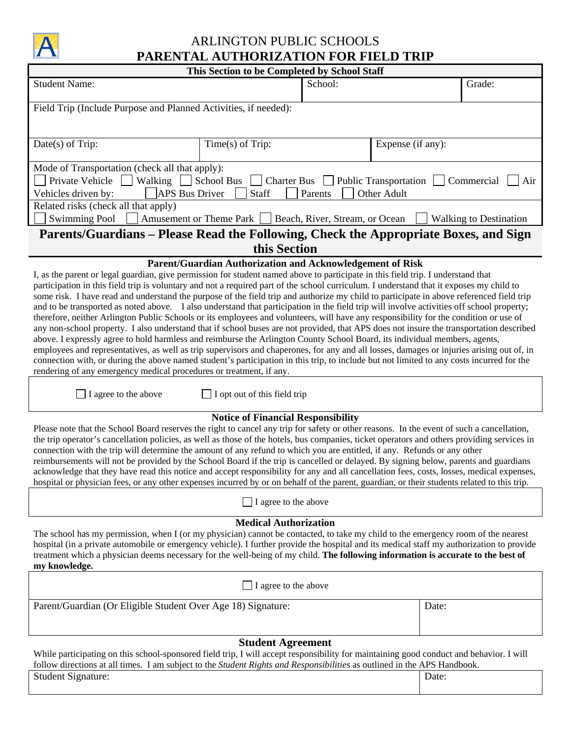

## ARLINGTON PUBLIC SCHOOLS **PARENTAL AUTHORIZATION FOR FIELD TRIP**

| This Section to be Completed by School Staff                                                                                                                                                                                                                                                                                                                                                                                                                                                                                                                                                                                                                                                                                                                                                                                                                                                                                                                                                                                                                                                                                                                                                                                                                                                                                                                                                                          |                                                        |         |                   |                               |  |  |  |
|-----------------------------------------------------------------------------------------------------------------------------------------------------------------------------------------------------------------------------------------------------------------------------------------------------------------------------------------------------------------------------------------------------------------------------------------------------------------------------------------------------------------------------------------------------------------------------------------------------------------------------------------------------------------------------------------------------------------------------------------------------------------------------------------------------------------------------------------------------------------------------------------------------------------------------------------------------------------------------------------------------------------------------------------------------------------------------------------------------------------------------------------------------------------------------------------------------------------------------------------------------------------------------------------------------------------------------------------------------------------------------------------------------------------------|--------------------------------------------------------|---------|-------------------|-------------------------------|--|--|--|
| <b>Student Name:</b>                                                                                                                                                                                                                                                                                                                                                                                                                                                                                                                                                                                                                                                                                                                                                                                                                                                                                                                                                                                                                                                                                                                                                                                                                                                                                                                                                                                                  |                                                        | School: |                   | Grade:                        |  |  |  |
| Field Trip (Include Purpose and Planned Activities, if needed):                                                                                                                                                                                                                                                                                                                                                                                                                                                                                                                                                                                                                                                                                                                                                                                                                                                                                                                                                                                                                                                                                                                                                                                                                                                                                                                                                       |                                                        |         |                   |                               |  |  |  |
| Date(s) of Trip:                                                                                                                                                                                                                                                                                                                                                                                                                                                                                                                                                                                                                                                                                                                                                                                                                                                                                                                                                                                                                                                                                                                                                                                                                                                                                                                                                                                                      | Time(s) of Trip:                                       |         | Expense (if any): |                               |  |  |  |
| Mode of Transportation (check all that apply):<br>Private Vehicle<br>Walking School Bus<br>$\Box$ Charter Bus $\Box$ Public Transportation<br>Commercial<br>Air<br>APS Bus Driver<br>Staff<br>Parents<br>Other Adult<br>Vehicles driven by:                                                                                                                                                                                                                                                                                                                                                                                                                                                                                                                                                                                                                                                                                                                                                                                                                                                                                                                                                                                                                                                                                                                                                                           |                                                        |         |                   |                               |  |  |  |
| Related risks (check all that apply)<br><b>Swimming Pool</b>                                                                                                                                                                                                                                                                                                                                                                                                                                                                                                                                                                                                                                                                                                                                                                                                                                                                                                                                                                                                                                                                                                                                                                                                                                                                                                                                                          | Amusement or Theme Park Seach, River, Stream, or Ocean |         |                   | <b>Walking to Destination</b> |  |  |  |
| Parents/Guardians – Please Read the Following, Check the Appropriate Boxes, and Sign                                                                                                                                                                                                                                                                                                                                                                                                                                                                                                                                                                                                                                                                                                                                                                                                                                                                                                                                                                                                                                                                                                                                                                                                                                                                                                                                  |                                                        |         |                   |                               |  |  |  |
|                                                                                                                                                                                                                                                                                                                                                                                                                                                                                                                                                                                                                                                                                                                                                                                                                                                                                                                                                                                                                                                                                                                                                                                                                                                                                                                                                                                                                       | this Section                                           |         |                   |                               |  |  |  |
| Parent/Guardian Authorization and Acknowledgement of Risk<br>I, as the parent or legal guardian, give permission for student named above to participate in this field trip. I understand that<br>participation in this field trip is voluntary and not a required part of the school curriculum. I understand that it exposes my child to<br>some risk. I have read and understand the purpose of the field trip and authorize my child to participate in above referenced field trip<br>and to be transported as noted above. I also understand that participation in the field trip will involve activities off school property;<br>therefore, neither Arlington Public Schools or its employees and volunteers, will have any responsibility for the condition or use of<br>any non-school property. I also understand that if school buses are not provided, that APS does not insure the transportation described<br>above. I expressly agree to hold harmless and reimburse the Arlington County School Board, its individual members, agents,<br>employees and representatives, as well as trip supervisors and chaperones, for any and all losses, damages or injuries arising out of, in<br>connection with, or during the above named student's participation in this trip, to include but not limited to any costs incurred for the<br>rendering of any emergency medical procedures or treatment, if any. |                                                        |         |                   |                               |  |  |  |
| I agree to the above<br>I opt out of this field trip                                                                                                                                                                                                                                                                                                                                                                                                                                                                                                                                                                                                                                                                                                                                                                                                                                                                                                                                                                                                                                                                                                                                                                                                                                                                                                                                                                  |                                                        |         |                   |                               |  |  |  |
| <b>Notice of Financial Responsibility</b><br>Please note that the School Board reserves the right to cancel any trip for safety or other reasons. In the event of such a cancellation,<br>the trip operator's cancellation policies, as well as those of the hotels, bus companies, ticket operators and others providing services in<br>connection with the trip will determine the amount of any refund to which you are entitled, if any. Refunds or any other<br>reimbursements will not be provided by the School Board if the trip is cancelled or delayed. By signing below, parents and guardians<br>acknowledge that they have read this notice and accept responsibility for any and all cancellation fees, costs, losses, medical expenses,<br>hospital or physician fees, or any other expenses incurred by or on behalf of the parent, guardian, or their students related to this trip.                                                                                                                                                                                                                                                                                                                                                                                                                                                                                                                 |                                                        |         |                   |                               |  |  |  |
| I agree to the above                                                                                                                                                                                                                                                                                                                                                                                                                                                                                                                                                                                                                                                                                                                                                                                                                                                                                                                                                                                                                                                                                                                                                                                                                                                                                                                                                                                                  |                                                        |         |                   |                               |  |  |  |
| <b>Medical Authorization</b><br>The school has my permission, when I (or my physician) cannot be contacted, to take my child to the emergency room of the nearest<br>hospital (in a private automobile or emergency vehicle). I further provide the hospital and its medical staff my authorization to provide<br>treatment which a physician deems necessary for the well-being of my child. The following information is accurate to the best of<br>my knowledge.                                                                                                                                                                                                                                                                                                                                                                                                                                                                                                                                                                                                                                                                                                                                                                                                                                                                                                                                                   |                                                        |         |                   |                               |  |  |  |
| I agree to the above                                                                                                                                                                                                                                                                                                                                                                                                                                                                                                                                                                                                                                                                                                                                                                                                                                                                                                                                                                                                                                                                                                                                                                                                                                                                                                                                                                                                  |                                                        |         |                   |                               |  |  |  |
| Parent/Guardian (Or Eligible Student Over Age 18) Signature:                                                                                                                                                                                                                                                                                                                                                                                                                                                                                                                                                                                                                                                                                                                                                                                                                                                                                                                                                                                                                                                                                                                                                                                                                                                                                                                                                          |                                                        |         | Date:             |                               |  |  |  |
| <b>Student Agreement</b>                                                                                                                                                                                                                                                                                                                                                                                                                                                                                                                                                                                                                                                                                                                                                                                                                                                                                                                                                                                                                                                                                                                                                                                                                                                                                                                                                                                              |                                                        |         |                   |                               |  |  |  |
| While participating on this school-sponsored field trip, I will accept responsibility for maintaining good conduct and behavior. I will<br>follow directions at all times. I am subject to the Student Rights and Responsibilities as outlined in the APS Handbook.                                                                                                                                                                                                                                                                                                                                                                                                                                                                                                                                                                                                                                                                                                                                                                                                                                                                                                                                                                                                                                                                                                                                                   |                                                        |         |                   |                               |  |  |  |

| Student<br>Signature: |  | Date: |
|-----------------------|--|-------|
|                       |  |       |